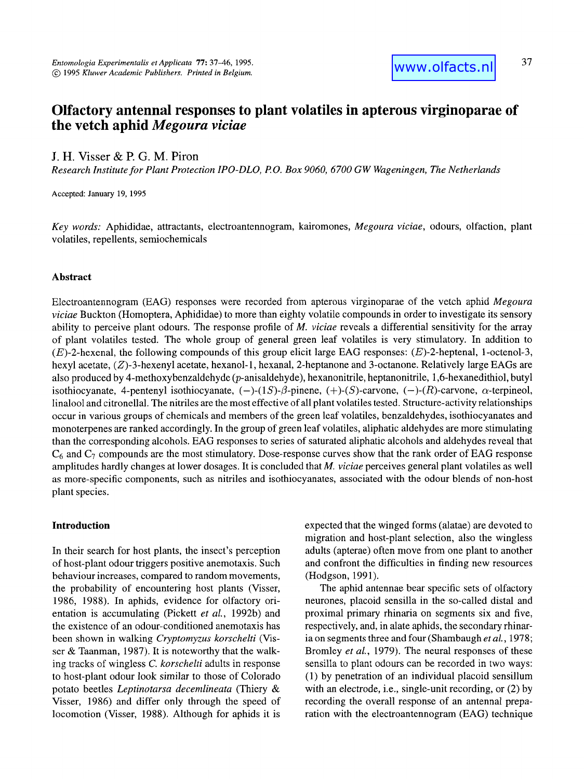# **Olfactory antennal responses to plant volatiles in apterous virginoparae of the vetch aphid** *Megoura viciae*

# **J. H. Visser & R G. M. Piron**

*Research Institute for Plant Protection IPO-DLO, P.O. Box 9060, 6700 GW Wageningen, The Netherlands* 

Accepted: January 19, 1995

*Key words':* Aphididae, attractants, electroantennogram, kairomones, *Megoura viciae,* odours, olfaction, plant volatiles, repellents, semiochemicals

#### **Abstract**

Electroantennogram (EAG) responses were recorded from apterous virginoparae of the vetch aphid *Megoura viciae* Buckton (Homoptera, Aphididae) to more than eighty volatile compounds in order to investigate its sensory ability to perceive plant odours. The response profile of *M. viciae* reveals a differential sensitivity for the array of plant volatiles tested. The whole group of general green leaf volatiles is very stimulatory. In addition to (E)-2-hexenal, the following compounds of this group elicit large EAG responses: (E)-2-heptenal, 1-octenol-3, hexyl acetate, (Z)-3-hexenyl acetate, hexanol-1, hexanal, 2-heptanone and 3-octanone. Relatively large EAGs are also produced by 4-methoxybenzaldehyde (p-anisaldehyde), hexanonitrile, heptanonitrile, 1,6-hexanedithiol, butyl isothiocyanate, 4-pentenyl isothiocyanate,  $(-)$ - $(1S)$ - $\beta$ -pinene,  $(+)$ - $(S)$ -carvone,  $(-)$ - $(R)$ -carvone,  $\alpha$ -terpineol, linalool and citronellal. The nitriles are the most effective of all plant volatiles tested. Structure-activity relationships occur in various groups of chemicals and members of the green leaf volatiles, henzaldehydes, isothiocyanates and monoterpenes are ranked accordingly. In the group of green leaf volatiles, aliphatic aldehydes are more stimulating than the corresponding alcohols. EAG responses to series of saturated aliphatic alcohols and aldehydes reveal that  $C_6$  and  $C_7$  compounds are the most stimulatory. Dose-response curves show that the rank order of EAG response amplitudes hardly changes at lower dosages. It is concluded that *M. viciae* perceives general plant volatiles as well as more-specific components, such as nitriles and isothiocyanates, associated with the odour blends of non-host plant species.

### **Introduction**

In their search for host plants, the insect's perception of host-plant odour triggers positive anemotaxis. Such behaviour increases, compared to random movements, the probability of encountering host plants (Visser, 1986, 1988). In aphids, evidence for olfactory orientation is accumulating (Pickett *et al.,* 1992b) and the existence of an odour-conditioned anemotaxis has been shown in walking *Cryptomyzus korschelti* (Visser & Taanman, 1987). It is noteworthy that the walking tracks of wingless *C. korschelti* adults in response to host-plant odour look similar to those of Colorado potato beetles *Leptinotarsa decemlineata* (Thiery & Visser, 1986) and differ only through the speed of locomotion (Visser, 1988). Although for aphids it is

expected that the winged forms (alatae) are devoted to migration and host-plant selection, also the wingless adults (apterae) often move from one plant to another and confront the difficulties in finding new resources (Hodgson, 1991).

The aphid antennae bear specific sets of olfactory neurones, placoid sensilla in the so-called distal and proximal primary rhinaria on segments six and five, respectively, and, in alate aphids, the secondary rhinaria on segments three and four (Shambaugh *et al.,* 1978; Bromley *et al.,* 1979). The neural responses of these sensilla to plant odours can be recorded in two ways: (1) by penetration of an individual placoid sensillum with an electrode, i.e., single-unit recording, or (2) by recording the overall response of an antennal preparation with the electroantennogram (EAG) technique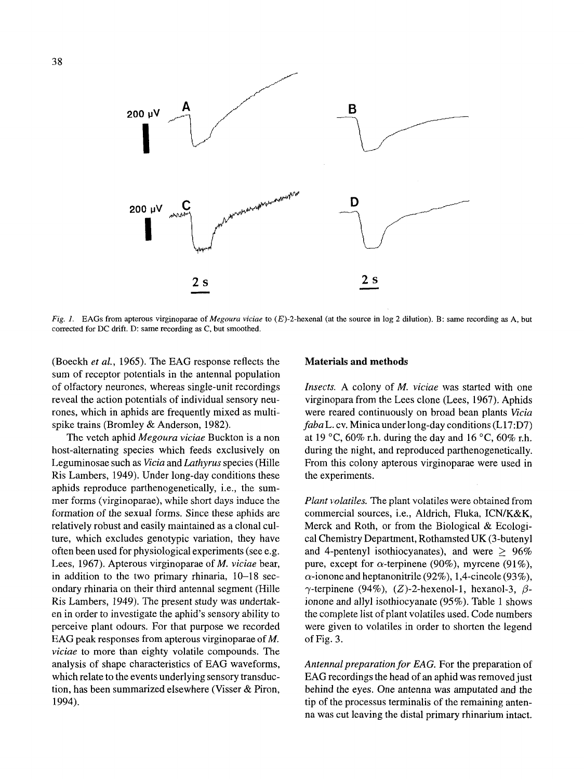

*Fig. 1.* EAGs from apterous virginoparae of *Megoura viciae* to (E)-2-hexenal (at the source in log 2 dilution). B: same recording as A, but corrected for DC drift. D: same recording as C, but smoothed.

(Boeckh *et al.,* 1965). The EAG response reflects the sum of receptor potentials in the antennal population of olfactory neurones, whereas single-unit recordings reveal the action potentials of individual sensory neurones, which in aphids are frequently mixed as multispike trains (Bromley & Anderson, 1982).

The vetch aphid *Megoura viciae* Buckton is a non host-alternating species which feeds exclusively on Leguminosae such as *Vicia* and *Lathyrus* species (Hilte Ris Lambers, 1949). Under long-day conditions these aphids reproduce parthenogenetically, i.e., the summer forms (virginoparae), while short days induce the formation of the sexual forms. Since these aphids are relatively robust and easily maintained as a clonal culture, which excludes genotypic variation, they have often been used for physiological experiments (see e.g. Lees, 1967). Apterous virginoparae of *M. viciae* bear, in addition to the two primary rhinaria, 10-18 secondary rhinaria on their third antennal segment (Hille Ris Lambers, 1949). The present study was undertaken in order to investigate the aphid's sensory ability to perceive plant odours. For that purpose we recorded EAG peak responses from apterous virginoparae of M. *viciae* to more than eighty volatile compounds. The analysis of shape characteristics of EAG waveforms, which relate to the events underlying sensory transduction, has been summarized elsewhere (Visser & Piron, 1994).

#### **Materials and methods**

*Insects.* A colony of *M. viciae* was started with one virginopara from the Lees clone (Lees, 1967). Aphids were reared continuously on broad bean plants *Vicia faba L. cv.* Minica under long-day conditions (L17:D7) at 19 °C, 60% r.h. during the day and 16 °C, 60% r.h. during the night, and reproduced parthenogenetically. From this colony apterous virginoparae were used in the experiments.

*Plant volatiles.* The plant volatiles were obtained from commercial sources, i.e., Aldrich, Fluka, ICN/K&K, Merck and Roth, or from the Biological & Ecological Chemistry Department, Rothamsted UK (3-butenyl and 4-pentenyl isothiocyanates), and were  $> 96\%$ pure, except for  $\alpha$ -terpinene (90%), myrcene (91%),  $\alpha$ -ionone and heptanonitrile (92%), 1,4-cineole (93%),  $\gamma$ -terpinene (94%), (Z)-2-hexenol-1, hexanol-3,  $\beta$ ionone and allyl isothiocyanate (95%). Table 1 shows the complete list of plant volatiles used. Code numbers were given to volatiles in order to shorten the legend of Fig. 3.

Antennal preparation for EAG. For the preparation of EAG recordings the head of an aphid was removed just behind the eyes. One antenna was amputated and the tip of the processus terminalis of the remaining antenna was cut leaving the distal primary rhinarium intact.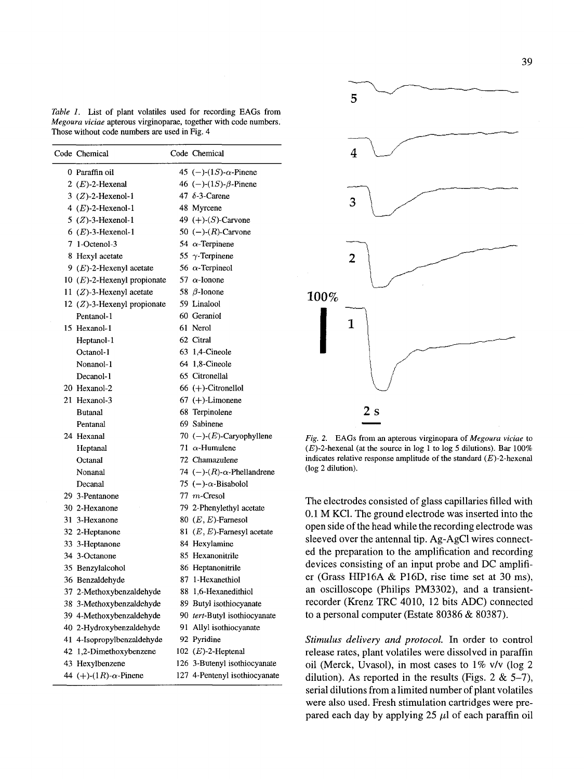*Table 1.* List of plant volatiles used for recording EAGs from *Megoura viciae* apterous virginoparae, together with code numbers. Those without code numbers are used in Fig. 4

| Code Chemical                  | Code Chemical                          |
|--------------------------------|----------------------------------------|
| 0 Paraffin oil                 | 45 (-)-(1 <i>S</i> )- $\alpha$ -Pinene |
| 2 $(E)$ -2-Hexenal             | 46 (-)-(1 <i>S</i> )- $\beta$ -Pinene  |
| $3$ (Z)-2-Hexenol-1            | 47 $\delta$ -3-Carene                  |
| 4 $(E)$ -2-Hexenol-1           | 48 Myrcene                             |
| $5$ (Z)-3-Hexenol-1            | 49 $(+)$ - $(S)$ -Carvone              |
| $6$ ( <i>E</i> )-3-Hexenol-1   | 50 $(-)$ - $(R)$ -Carvone              |
| 7 1-Octenol-3                  | 54 $\alpha$ -Terpinene                 |
| 8 Hexyl acetate                | 55 $\gamma$ -Terpinene                 |
| 9 $(E)$ -2-Hexenyl acetate     | 56 $\alpha$ -Terpineol                 |
| 10 $(E)$ -2-Hexenyl propionate | 57 $\alpha$ -Ionone                    |
| 11 $(Z)$ -3-Hexenyl acetate    | 58 $\beta$ -Ionone                     |
| 12 $(Z)$ -3-Hexenyl propionate | 59 Linalool                            |
| Pentanol-1                     | 60 Geraniol                            |
| 15 Hexanol-1                   | 61 Nerol                               |
| Heptanol-1                     | 62 Citral                              |
| Octanol-1                      | 63 1,4-Cineole                         |
| Nonanol-1                      | 64 1,8-Cineole                         |
| Decanol-1                      | 65 Citronellal                         |
| 20 Hexanol-2                   | $66 (+)$ -Citronellol                  |
| 21 Hexanol-3                   | $67 (+)$ -Limonene                     |
| Butanal                        | 68 Terpinolene                         |
| Pentanal                       | 69 Sabinene                            |
| 24 Hexanal                     | 70 (-)- $(E)$ -Caryophyllene           |
| Heptanal                       | 71 $\alpha$ -Humulene                  |
| Octanal                        | 72 Chamazulene                         |
| Nonanal                        | 74 (-)- $(R)$ - $\alpha$ -Phellandrene |
| Decanal                        | 75 (-)- $\alpha$ -Bisabolol            |
| 29 3-Pentanone                 | $77$ m-Cresol                          |
| 30 2-Hexanone                  | 79 2-Phenylethyl acetate               |
| 31 3-Hexanone                  | 80 $(E, E)$ -Farnesol                  |
| 32 2-Heptanone                 | 81 $(E, E)$ -Farnesyl acetate          |
| 33 3-Heptanone                 | 84 Hexylamine                          |
| 34 3-Octanone                  | 85 Hexanonitrile                       |
| 35 Benzylalcohol               | 86 Heptanonitrile                      |
| 36 Benzaldehyde                | 87 1-Hexanethiol                       |
| 37 2-Methoxybenzaldehyde       | 88 1,6-Hexanedithiol                   |
| 38 3-Methoxybenzaldehyde       | 89 Butyl isothiocyanate                |
| 39 4-Methoxybenzaldehyde       | 90 tert-Butyl isothiocyanate           |
| 40 2-Hydroxybenzaldehyde       | 91 Allyl isothiocyanate                |
| 41 4-Isopropylbenzaldehyde     | 92 Pyridine                            |
| 42 1,2-Dimethoxybenzene        | 102 $(E)$ -2-Heptenal                  |
| 43 Hexylbenzene                | 126 3-Butenyl isothiocyanate           |
| 44 (+)-(1R)- $\alpha$ -Pinene  | 127 4-Pentenyl isothiocyanate          |



*Fig. 2.* EAGs from an apterous virginopara of *Megoura viciae* to  $(E)$ -2-hexenal (at the source in log 1 to log 5 dilutions). Bar 100% indicates relative response amplitude of the standard  $(E)$ -2-hexenal (log 2 dilution).

The electrodes consisted of glass capillaries filled with 0.1 M KC1. The ground electrode was inserted into the open side of the head while the recording electrode was sleeved over the antennal tip. Ag-AgC1 wires connected the preparation to the amplification and recording devices consisting of an input probe and DC amplifier (Grass HIP16A & P16D, rise time set at 30 ms), an oscilloscope (Philips PM3302), and a transientrecorder (Krenz TRC 4010, 12 bits ADC) connected to a personal computer (Estate 80386 & 80387).

*Stimulus delivery and protocol.* In order to control release rates, plant volatiles were dissolved in paraffin oil (Merck, Uvasol), in most cases to 1% v/v (log 2 dilution). As reported in the results (Figs. 2  $& 5-7$ ), serial dilutions from a limited number of plant volatiles were also used. Fresh stimulation cartridges were prepared each day by applying 25  $\mu$ l of each paraffin oil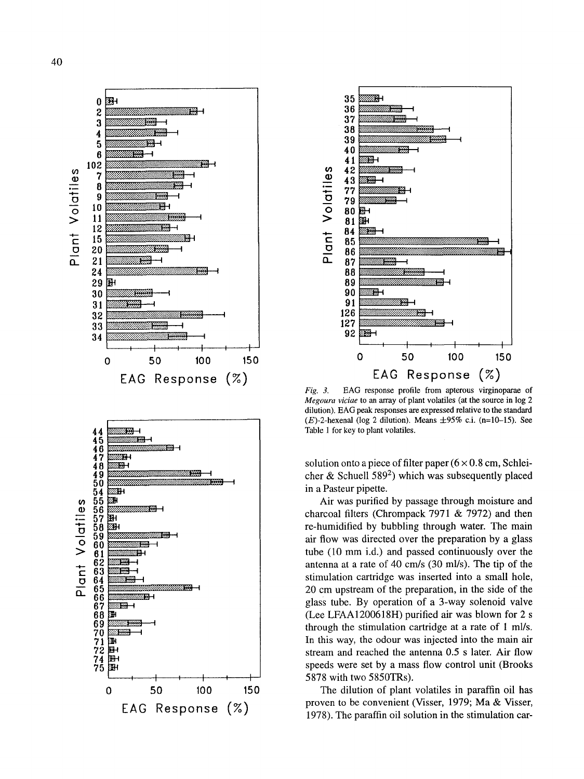





EAG response profile from apterous virginoparae of  $Fig. 3.$ Megoura viciae to an array of plant volatiles (at the source in log 2 dilution). EAG peak responses are expressed relative to the standard  $(E)$ -2-hexenal (log 2 dilution). Means  $\pm 95\%$  c.i. (n=10-15). See Table 1 for key to plant volatiles.

solution onto a piece of filter paper  $(6 \times 0.8 \text{ cm}, \text{Schlei-}$ cher & Schuell 589<sup>2</sup>) which was subsequently placed in a Pasteur pipette.

Air was purified by passage through moisture and charcoal filters (Chrompack 7971 & 7972) and then re-humidified by bubbling through water. The main air flow was directed over the preparation by a glass tube (10 mm i.d.) and passed continuously over the antenna at a rate of 40 cm/s (30 ml/s). The tip of the stimulation cartridge was inserted into a small hole, 20 cm upstream of the preparation, in the side of the glass tube. By operation of a 3-way solenoid valve (Lee LFAA1200618H) purified air was blown for 2 s through the stimulation cartridge at a rate of 1 ml/s. In this way, the odour was injected into the main air stream and reached the antenna 0.5 s later. Air flow speeds were set by a mass flow control unit (Brooks 5878 with two 5850TRs).

The dilution of plant volatiles in paraffin oil has proven to be convenient (Visser, 1979; Ma & Visser, 1978). The paraffin oil solution in the stimulation car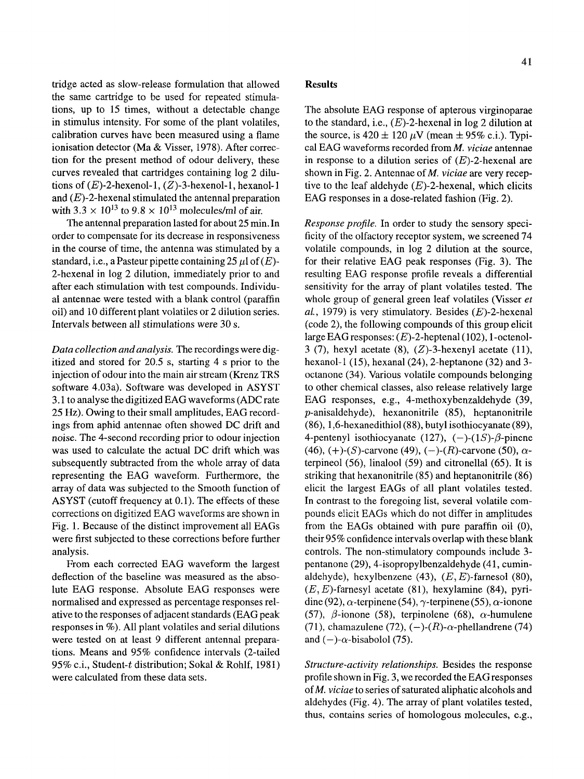tridge acted as slow-release formulation that allowed the same cartridge to be used for repeated stimulations, up to 15 times, without a detectable change in stimulus intensity. For some of the plant volatiles, calibration curves have been measured using a flame ionisation detector (Ma & Visser, 1978). After correction for the present method of odour delivery, these curves revealed that cartridges containing log 2 dilutions of  $(E)$ -2-hexenol-1,  $(Z)$ -3-hexenol-1, hexanol-1 and  $(E)$ -2-hexenal stimulated the antennal preparation with 3.3  $\times$  10<sup>13</sup> to 9.8  $\times$  10<sup>13</sup> molecules/ml of air.

The antennal preparation lasted for about 25 min. In order to compensate for its decrease in responsiveness in the course of time, the antenna was stimulated by a standard, i.e., a Pasteur pipette containing 25  $\mu$ l of (E)-2-hexenal in log 2 dilution, immediately prior to and after each stimulation with test compounds. Individual antennae were tested with a blank control (paraffin oil) and 10 different plant volatiles or 2 dilution series. Intervals between all stimulations were 30 s.

*Data collection and analysis.* The recordings were digitized and stored for 20.5 s, starting 4 s prior to the injection of odour into the main air stream (Krenz TRS software 4.03a). Software was developed in ASYST 3.1 to analyse the digitized EAG waveforms (ADC rate 25 Hz). Owing to their small amplitudes, EAG recordings from aphid antennae often showed DC drift and noise. The 4-second recording prior to odour injection was used to calculate the actual DC drift which was subsequently subtracted from the whole array of data representing the EAG waveform. Furthermore, the array of data was subjected to the Smooth function of ASYST (cutoff frequency at 0.1). The effects of these corrections on digitized EAG waveforms are shown in Fig. 1. Because of the distinct improvement all EAGs were first subjected to these corrections before further analysis.

From each corrected EAG waveform the largest deflection of the baseline was measured as the absolute EAG response. Absolute EAG responses were normalised and expressed as percentage responses relative to the responses of adjacent standards (EAG peak responses in %). All plant volatiles and serial dilutions were tested on at least 9 different antennal preparations. Means and 95% confidence intervals (2-tailed 95% c.i., Student-t distribution; Sokal & Rohlf, 1981) were calculated from these data sets.

#### **Results**

The absolute EAG response of apterous virginoparae to the standard, i.e.,  $(E)$ -2-hexenal in log 2 dilution at the source, is  $420 \pm 120~\mu$ V (mean  $\pm 95\%$  c.i.). Typical EAG waveforms recorded from *M. viciae* antennae in response to a dilution series of  $(E)$ -2-hexenal are shown in Fig. 2. Antennae of *M*, *viciae* are very receptive to the leaf aldehyde  $(E)$ -2-hexenal, which elicits EAG responses in a dose-related fashion (Fig. 2).

*Response profile.* In order to study the sensory specificity of the olfactory receptor system, we screened 74 volatile compounds, in log 2 dilution at the source, for their relative EAG peak responses (Fig. 3). The resulting EAG response profile reveals a differential sensitivity for the array of plant volatiles tested. The whole group of general green leaf volatiles (Visser *et aL,* 1979) is very stimulatory. Besides (E)-2-hexenal (code 2), the following compounds of this group elicit large EAG responses: (E)-2-heptenal (102), 1-octenol-3 (7), hexyl acetate (8),  $(Z)$ -3-hexenyl acetate (11), hexanol-1 (15), hexanal (24), 2-heptanone (32) and 3 octanone (34). Various volatile compounds belonging to other chemical classes, also release relatively large EAG responses, e.g., 4-methoxybenzaldehyde (39, p-anisaldehyde), hexanonitrile (85), heptanonitrile (86), 1,6-hexanedithiol (88), butyl isothiocyanate (89), 4-pentenyl isothiocyanate (127),  $(-)$ - $(1S)$ - $\beta$ -pinene (46), (+)-(S)-carvone (49), (-)-(R)-carvone (50),  $\alpha$ terpineol (56), linalool (59) and citronellal (65). It is striking that hexanonitrile (85) and heptanonitrile (86) elicit the largest EAGs of all plant volatiles tested. In contrast to the foregoing list, several volatile compounds elicit EAGs which do not differ in amplitudes from the EAGs obtained with pure paraffin oil (0), their 95% confidence intervals overlap with these blank controls. The non-stimulatory compounds include 3 pentanone (29), 4-isopropylbenzaldehyde (41, cuminaldehyde), hexylbenzene  $(43)$ ,  $(E, E)$ -farnesol  $(80)$ ,  $(E, E)$ -farnesyl acetate (81), hexylamine (84), pyridine (92),  $\alpha$ -terpinene (54),  $\gamma$ -terpinene (55),  $\alpha$ -ionone (57),  $\beta$ -ionone (58), terpinolene (68),  $\alpha$ -humulene (71), chamazulene (72),  $(-)$ - $(R)$ - $\alpha$ -phellandrene (74) and  $(-)$ - $\alpha$ -bisabolol (75).

*Structure-activity relationships.* Besides the response profile shown in Fig. 3, we recorded the EAG responses of *M. viciae* to series of saturated aliphatic alcohols and aldehydes (Fig. 4). The array of plant volatiles tested, thus, contains series of homologous molecules, e.g.,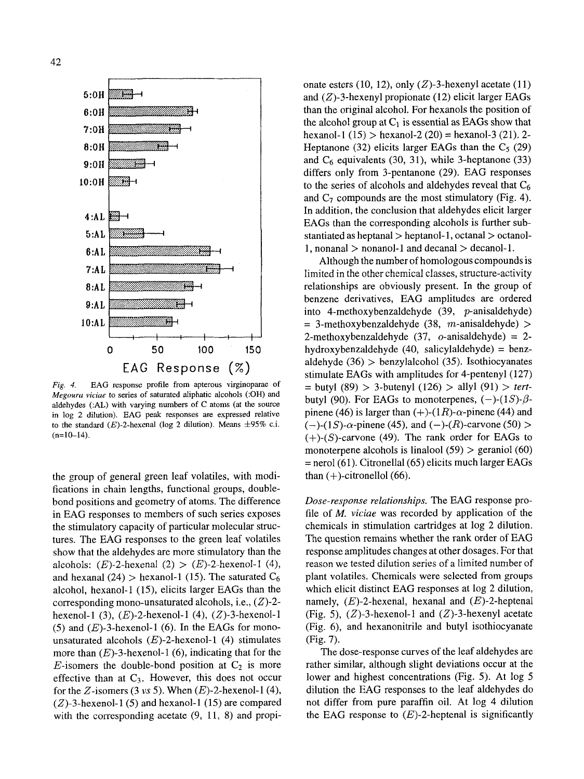

EAG response profile from apterous virginoparae of Fig.  $4$ . Megoura viciae to series of saturated aliphatic alcohols (:OH) and aldehydes  $(AAL)$  with varying numbers of C atoms (at the source in log 2 dilution). EAG peak responses are expressed relative to the standard  $(E)$ -2-hexenal (log 2 dilution). Means  $\pm 95\%$  c.i.  $(n=10-14)$ .

the group of general green leaf volatiles, with modifications in chain lengths, functional groups, doublebond positions and geometry of atoms. The difference in EAG responses to members of such series exposes the stimulatory capacity of particular molecular structures. The EAG responses to the green leaf volatiles show that the aldehydes are more stimulatory than the alcohols: (E)-2-hexenal (2) > (E)-2-hexenol-1 (4), and hexanal (24) > hexanol-1 (15). The saturated  $C_6$ alcohol, hexanol-1 (15), elicits larger EAGs than the corresponding mono-unsaturated alcohols, i.e.,  $(Z)$ -2hexenol-1 (3),  $(E)$ -2-hexenol-1 (4),  $(Z)$ -3-hexenol-1 (5) and  $(E)$ -3-hexenol-1 (6). In the EAGs for monounsaturated alcohols  $(E)$ -2-hexenol-1 (4) stimulates more than  $(E)$ -3-hexenol-1 (6), indicating that for the E-isomers the double-bond position at  $C_2$  is more effective than at  $C_3$ . However, this does not occur for the Z-isomers (3 vs 5). When  $(E)$ -2-hexenol-1(4),  $(Z)$ -3-hexenol-1(5) and hexanol-1(15) are compared with the corresponding acetate (9, 11, 8) and propionate esters (10, 12), only  $(Z)$ -3-hexenyl acetate (11) and  $(Z)$ -3-hexenyl propionate (12) elicit larger EAGs than the original alcohol. For hexanols the position of the alcohol group at  $C_1$  is essential as EAGs show that hexanol-1  $(15)$  > hexanol-2  $(20)$  = hexanol-3  $(21)$ . 2-Heptanone (32) elicits larger EAGs than the  $C_5$  (29) and  $C_6$  equivalents (30, 31), while 3-heptanone (33) differs only from 3-pentanone (29). EAG responses to the series of alcohols and aldehydes reveal that  $C_6$ and  $C_7$  compounds are the most stimulatory (Fig. 4). In addition, the conclusion that aldehydes elicit larger EAGs than the corresponding alcohols is further substantiated as heptanal  $>$  heptanol-1, octanal  $>$  octanol-1, nonanal  $>$  nonanol-1 and decanal  $>$  decanol-1.

Although the number of homologous compounds is limited in the other chemical classes, structure-activity relationships are obviously present. In the group of benzene derivatives, EAG amplitudes are ordered into 4-methoxybenzaldehyde  $(39, p\text{-anisaldehyde})$  $=$  3-methoxybenzaldehyde (38, m-anisaldehyde) > 2-methoxybenzaldehyde  $(37, o-anisaldehyde) = 2$ hydroxybenzaldehyde  $(40, \text{ salicylaldehyde}) = \text{benz}$ aldehyde  $(36)$  > benzylalcohol  $(35)$ . Isothiocyanates stimulate EAGs with amplitudes for 4-pentenyl (127) = butyl (89) > 3-butenyl (126) > allyl (91) > tertbutyl (90). For EAGs to monoterpenes,  $(-)$ - $(1S)$ - $\beta$ pinene (46) is larger than  $(+)$ - $(1R)$ - $\alpha$ -pinene (44) and  $(-)$ -(1*S*)- $\alpha$ -pinene (45), and (-)-(*R*)-carvone (50) >  $(+)$ - $(S)$ -carvone (49). The rank order for EAGs to monoterpene alcohols is linalool  $(59)$  > geraniol  $(60)$  $=$  nerol (61). Citronellal (65) elicits much larger EAGs than  $(+)$ -citronellol  $(66)$ .

Dose-response relationships. The EAG response profile of  $M$ , *viciae* was recorded by application of the chemicals in stimulation cartridges at log 2 dilution. The question remains whether the rank order of EAG response amplitudes changes at other dosages. For that reason we tested dilution series of a limited number of plant volatiles. Chemicals were selected from groups which elicit distinct EAG responses at log 2 dilution, namely,  $(E)$ -2-hexenal, hexanal and  $(E)$ -2-heptenal (Fig. 5),  $(Z)$ -3-hexenol-1 and  $(Z)$ -3-hexenyl acetate (Fig. 6), and hexanonitrile and butyl isothiocyanate (Fig. 7).

The dose-response curves of the leaf aldehydes are rather similar, although slight deviations occur at the lower and highest concentrations (Fig. 5). At log 5 dilution the EAG responses to the leaf aldehydes do not differ from pure paraffin oil. At log 4 dilution the EAG response to  $(E)$ -2-heptenal is significantly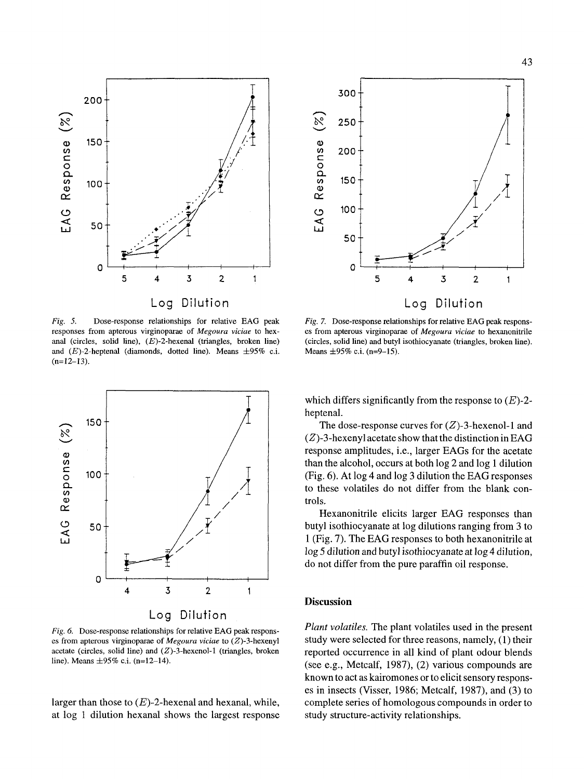



*Fig. 5.* Dose-response relationships for relative EAG peak responses from apterous virginoparae of *Megoura viciae* to hexanal (circles, solid line),  $(E)$ -2-hexenal (triangles, broken line) and  $(E)$ -2-heptenal (diamonds, dotted line). Means  $\pm 95\%$  c.i.  $(n=12-13)$ .



*Fig. 6.* Dose-response relationships for relative EAG peak responses from apterous virginoparae of *Megoura viciae* to (Z)-3-hexenyl acetate (circles, solid line) and  $(Z)$ -3-hexenol-1 (triangles, broken line). Means  $\pm 95\%$  c.i. (n=12-14).

larger than those to  $(E)$ -2-hexenal and hexanal, while, at log 1 dilution hexanal shows the largest response

*Fig.* 7. Dose-response relationships for relative EAG peak responses from apterous virginoparae of *Megoura viciae* to hexanonitrile (circles, solid line) and butyl isothiocyanate (triangles, broken line). Means  $\pm 95\%$  c.i. (n=9-15).

which differs significantly from the response to  $(E)$ -2heptenal.

The dose-response curves for  $(Z)$ -3-hexenol-1 and  $(Z)$ -3-hexenyl acetate show that the distinction in EAG response amplitudes, i.e., larger EAGs for the acetate than the alcohol, occurs at both log 2 and log 1 dilution (Fig. 6). At log 4 and log 3 dilution the EAG responses to these volatiles do not differ from the blank controis.

Hexanonitrile elicits larger EAG responses than butyl isothiocyanate at log dilutions ranging from 3 to 1 (Fig. 7). The EAG responses to both hexanonitrile at log 5 dilution and butyl isothiocyanate at log 4 dilution, do not differ from the pure paraffin oil response.

#### **Discussion**

*Plant volatiles.* The plant volatiles used in the present study were selected for three reasons, namely, (1) their reported occurrence in all kind of plant odour blends (see e.g., Metcalf, 1987), (2) various compounds are known to act as kairomones or to elicit sensory responses in insects (Visser, 1986; Metcalf, 1987), and (3) to complete series of homologous compounds in order to study structure-activity relationships.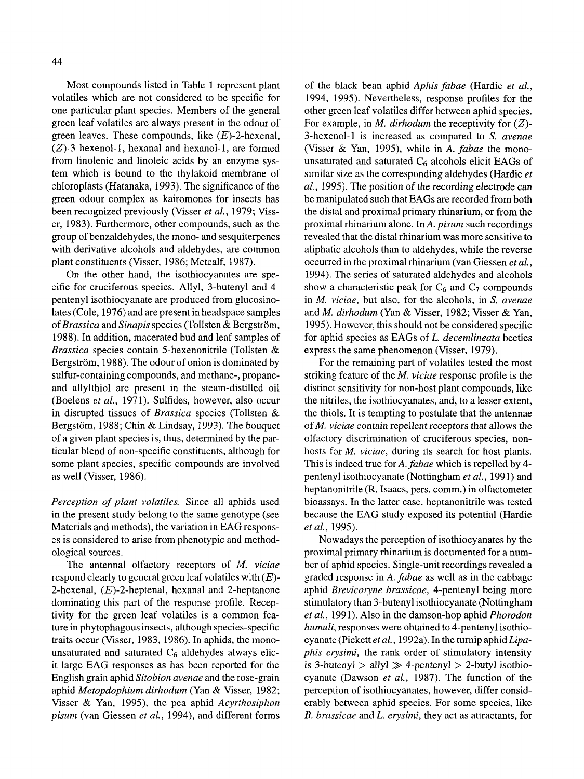Most compounds listed in Table 1 represent plant volatiles which are not considered to be specific for one particular plant species. Members of the general green leaf volatiles are always present in the odour of green leaves. These compounds, like  $(E)$ -2-hexenal,  $(Z)$ -3-hexenol-1, hexanal and hexanol-1, are formed from linolenic and linoleic acids by an enzyme system which is bound to the thylakoid membrane of chloroplasts (Hatanaka, 1993). The significance of the green odour complex as kairomones for insects has been recognized previously (Visser *et al.,* 1979; Visser, 1983). Furthermore, other compounds, such as the group of benzaldehydes, the mono- and sesquiterpenes with derivative alcohols and aldehydes, are common plant constituents (Visser, 1986; Metcalf, 1987).

On the other hand, the isothiocyanates are specific for cruciferous species. Allyl, 3-butenyl and 4 pentenyl isothiocyanate are produced from glucosinolates (Cole, 1976) and are present in headspace samples of *Brassica* and *Sinapis* species (Tollsten & Bergström, 1988). In addition, macerated bud and leaf samples of *Brassica* species contain 5-hexenonitrile (Tollsten & Bergström, 1988). The odour of onion is dominated by sulfur-containing compounds, and methane-, propaneand allylthiol are present in the steam-distilled oil (Boelens *et al.,* 1971). Sulfides, however, also occur in disrupted tissues of *Brassica* species (Tollsten & Bergstöm, 1988; Chin & Lindsay, 1993). The bouquet of a given plant species is, thus, determined by the particular blend of non-specific constituents, although for some plant species, specific compounds are involved as well (Visser, 1986).

*Perception of plant volatiles.* Since all aphids used in the present study belong to the same genotype (see Materials and methods), the variation in EAG responses is considered to arise from phenotypic and methodological sources.

The antennal olfactory receptors of *M. viciae*  respond clearly to general green leaf volatiles with  $(E)$ -2-hexenal,  $(E)$ -2-heptenal, hexanal and 2-heptanone dominating this part of the response profile. Receptivity for the green leaf volatiles is a common feature in phytophagous insects, although species-specific traits occur (Visser, 1983, 1986). In aphids, the monounsaturated and saturated  $C_6$  aldehydes always elicit large EAG responses as has been reported for the English grain aphid *Sitobion avenae* and the rose-grain aphid *Metopdophium dirhodum* (Yan& Visser, 1982; Visser & Yah, 1995), the pea aphid *Acyrthosiphon pisum* (van Giessen *et al.,* 1994), and different forms of the black bean aphid *Aphis fabae* (Hardie *et al.,*  1994, 1995). Nevertheless, response profiles for the other green leaf volatiles differ between aphid species. For example, in *M. dirhodum* the receptivity for (Z)- 3-hexenol-1 is increased as compared to *S. avenae*  (Visser & Yah, 1995), while in *A. fabae* the monounsaturated and saturated  $C_6$  alcohols elicit EAGs of similar size as the corresponding aldehydes (Hardie *et al.,* 1995). The position of the recording electrode can be manipulated such that EAGs are recorded from both the distal and proximal primary rhinarium, or from the proximal rhinarium alone. In *A. pisum* such recordings revealed that the distal rhinarium was more sensitive to aliphatic alcohols than to aldehydes, while the reverse occurred in the proximal rhinarium (van Giessen *et al.,*  1994). The series of saturated aldehydes and alcohols show a characteristic peak for  $C_6$  and  $C_7$  compounds in *M. viciae,* but also, for the alcohols, in *S. avenae*  and *M. dirhodum* (Yan & Visser, 1982; Visser & Yan, 1995). However, this should not be considered specific for aphid species as EAGs of *L. decemlineata* beetles express the same phenomenon (Visser, 1979).

For the remaining part of volatiles tested the most striking feature of the *M. viciae* response profile is the distinct sensitivity for non-host plant compounds, like the nitriles, the isothiocyanates, and, to a lesser extent, the thiols. It is tempting to postulate that the antennae ofM. *viciae* contain repellent receptors that allows the olfactory discrimination of cruciferous species, nonhosts for *M. viciae,* during its search for host plants. This is indeed true for *A. fabae* which is repelled by 4 pentenyl isothiocyanate (Nottingham *et al.,* 1991) and heptanonitrile (R. Isaacs, pers. comm.) in olfactometer bioassays. In the latter case, heptanonitrile was tested because the EAG study exposed its potential (Hardie *et al.,* 1995).

Nowadays the perception of isothiocyanates by the proximal primary rhinarium is documented for a number of aphid species. Single-unit recordings revealed a graded response in *A. fabae* as well as in the cabbage aphid *Brevicoryne brassicae,* 4-pentenyl being more stimulatory than 3-butenyl isothiocyanate (Nottingham *et al.,* 1991). Also in the damson-hop aphid *Phorodon humuli,* responses were obtained to 4-pentenyl isothiocyanate (Pickett *et al.,* 1992a). In the turnip aphid *Lipaphis erysimi,* the rank order of stimulatory intensity is 3-butenyl  $>$  allyl  $\gg$  4-pentenyl  $>$  2-butyl isothiocyanate (Dawson *et al.,* 1987). The function of the perception of isothiocyanates, however, differ considerably between aphid species. For some species, like *B. brassicae* and *L. erysimi,* they act as attraetants, for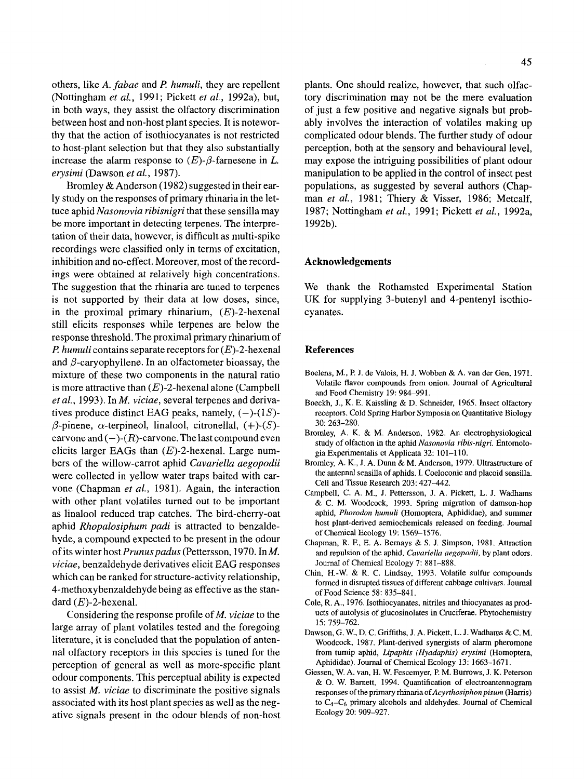others, like *A. fabae* and *P humuli,* they are repellent (Nottingham *et al.,* 1991; Pickett *et al.,* 1992a), but, in both ways, they assist the olfactory discrimination between host and non-host plant species. It is noteworthy that the action of isothiocyanates is not restricted to host-plant selection but that they also substantially increase the alarm response to  $(E)$ - $\beta$ -farnesene in L. *erysimi* (Dawson *et aL,* 1987).

Bromley & Anderson (1982) suggested in their early study on the responses of primary rhinaria in the lettuce aphid *Nasonovia ribisnigri* that these sensilla may be more important in detecting terpenes. The interpretation of their data, however, is difficult as multi-spike recordings were classified only in terms of excitation, inhibition and no-effect. Moreover, most of the recordings were obtained at relatively high concentrations. The suggestion that the rhinaria are tuned to terpenes is not supported by their data at low doses, since, in the proximal primary rhinarium,  $(E)$ -2-hexenal still elicits responses while terpenes are below the response threshold. The proximal primary rhinarium of *P. humuli* contains separate receptors for (E)-2-hexenal and  $\beta$ -caryophyllene. In an olfactometer bioassay, the mixture of these two components in the natural ratio is more attractive than  $(E)$ -2-hexenal alone (Campbell *et al.,* 1993). In *M. viciae,* several terpenes and derivatives produce distinct EAG peaks, namely,  $(-)$ - $(1S)$ - $\beta$ -pinene,  $\alpha$ -terpineol, linalool, citronellal,  $(+)$ - $(S)$ carvone and  $(-)$ - $(R)$ -carvone. The last compound even elicits larger EAGs than  $(E)$ -2-hexenal. Large numbers of the willow-carrot aphid *Cavariella aegopodii*  were collected in yellow water traps baited with carvone (Chapman *et al.,* 1981). Again, the interaction with other plant volatiles turned out to be important as linalool reduced trap catches. The bird-cherry-oat aphid *Rhopalosiphum padi* is attracted to benzaldehyde, a compound expected to be present in the odour of its winter host *Prunus padus* (Pettersson, 1970. In M. *viciae,* benzaldehyde derivatives elicit EAG responses which can be ranked for structure-activity relationship, 4-methoxybenzaldehyde being as effective as the standard  $(E)$ -2-hexenal.

Considering the response profile of *M. viciae* to the large array of plant volatiles tested and the foregoing literature, it is concluded that the population of antennal olfactory receptors in this species is tuned for the perception of general as well as more-specific plant odour components. This perceptual ability is expected to assist *M. viciae* to discriminate the positive signals associated with its host plant species as well as the negative signals present in the odour blends of non-host plants. One should realize, however, that such olfactory discrimination may not be the mere evaluation of just a few positive and negative signals but probably involves the interaction of volatiles making up complicated odour blends. The further study of odour perception, both at the sensory and behavioural level, may expose the intriguing possibilities of plant odour manipulation to be applied in the control of insect pest populations, as suggested by several authors (Chapman *et al.,* 1981; Thiery & Visser, 1986; Metcalf, 1987; Nottingham *et al.,* 1991; Pickett *et al.,* 1992a, 1992b).

# **Acknowledgements**

We thank the Rothamsted Experimental Station UK for supplying 3-butenyl and 4-pentenyl isothiocyanates.

#### **References**

- Boelens, M., P. J. de Valois, H. J. Wobben & A. van der Gen, 1971. Volatile flavor compounds from onion. Journal of Agricultural and Food Chemistry 19: 984-991.
- Boeckh, J., K. E. Kaissling & D. Schneider, 1965. Insect olfactory receptors. Cold Spring Harbor Symposia on Quantitative Biology 30: 263-280.
- Bromley, A. K. & M. Anderson, 1982. An electrophysiological study of olfaction in the aphid *Nasonovia ribis-nigri.* Entomologia Experimentalis et Applicata 32:101-110.
- Bromley, A. K., J. A. Dunn & M. Anderson, 1979. Ultrastructure of the antennal sensilla of aphids. I. Coeloconic and placoid sensilla. Cell and Tissue Research 203: 427-442.
- Campbell, C. A. M., J. Pettersson, J. A. Pickett, L. J. Wadhams & C. M. Woodcock, 1993. Spring migration of damson-hop aphid, *Phorodon humuli* (Homoptera, Aphididae), and summer host plant-derived semiochemicals released on feeding. Joumal of Chemical Ecology 19: 1569-1576.
- Chapman, R. E, E. A. Bernays & S. J. Simpson, 1981. Attraction and repulsion of the aphid, *Cavariella aegopodii,* by plant odors. Journal of Chemical Ecology 7: 881-888.
- Chin, H.-W. & R. C. Lindsay, 1993. Volatile sulfur compounds formed in disrupted tissues of different cabbage cultivars. Journal of Food Science 58: 835-841.
- Cole, R. A., 1976. Isothiocyanates, nitriles and thiocyanates as products of autolysis of glucosinolates in Cruciferae. Phytochemistry 15: 759-762.
- Dawson, G. W., D. C. Griffiths, J. A. Pickett, L. J. Wadhams & C. M. Woodcock, 1987. Plant-derived synergists of alarm pheromone from turnip aphid, *Lipaphis (Hyadaphis) erysimi* (Homoptera, Aphididae). Journal of Chemical Ecology 13: 1663-1671.
- Giessen, W. A. van, H. W. Fescemyer, P. M. Burrows, J. K. Peterson & O. W. Barnett, 1994. Quantification of electroantennogram responses of the primary rhinaria of *Acyrthosiphon pisum* (Harris) to *C4-C6* primary alcohols and aldehydes. Journal of Chemical Ecology 20: 909-927.